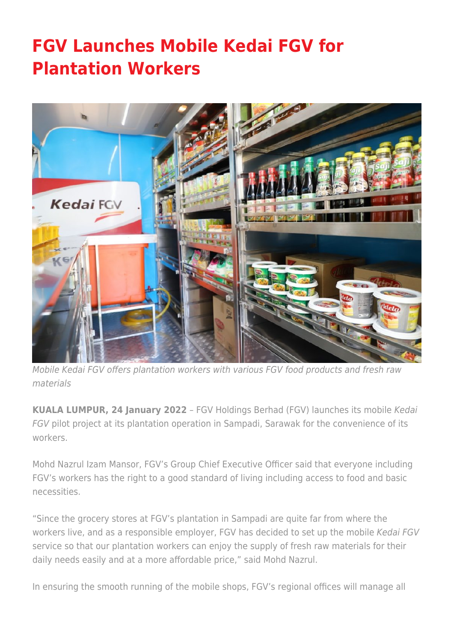## **[FGV Launches Mobile Kedai FGV for](https://www.fgvholdings.com/press_release/fgv-launches-mobile-kedai-fgv-for-plantation-workers/) [Plantation Workers](https://www.fgvholdings.com/press_release/fgv-launches-mobile-kedai-fgv-for-plantation-workers/)**



Mobile Kedai FGV offers plantation workers with various FGV food products and fresh raw materials

**KUALA LUMPUR, 24 January 2022** – FGV Holdings Berhad (FGV) launches its mobile Kedai FGV pilot project at its plantation operation in Sampadi, Sarawak for the convenience of its workers.

Mohd Nazrul Izam Mansor, FGV's Group Chief Executive Officer said that everyone including FGV's workers has the right to a good standard of living including access to food and basic necessities.

"Since the grocery stores at FGV's plantation in Sampadi are quite far from where the workers live, and as a responsible employer, FGV has decided to set up the mobile Kedai FGV service so that our plantation workers can enjoy the supply of fresh raw materials for their daily needs easily and at a more affordable price," said Mohd Nazrul.

In ensuring the smooth running of the mobile shops, FGV's regional offices will manage all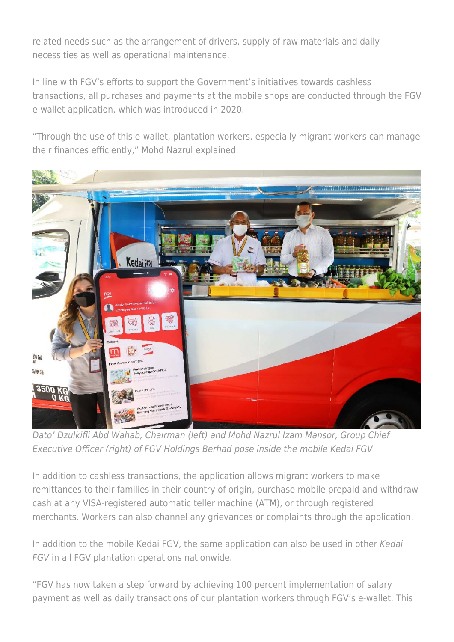related needs such as the arrangement of drivers, supply of raw materials and daily necessities as well as operational maintenance.

In line with FGV's efforts to support the Government's initiatives towards cashless transactions, all purchases and payments at the mobile shops are conducted through the FGV e-wallet application, which was introduced in 2020.

"Through the use of this e-wallet, plantation workers, especially migrant workers can manage their finances efficiently," Mohd Nazrul explained.



Dato' Dzulkifli Abd Wahab, Chairman (left) and Mohd Nazrul Izam Mansor, Group Chief Executive Officer (right) of FGV Holdings Berhad pose inside the mobile Kedai FGV

In addition to cashless transactions, the application allows migrant workers to make remittances to their families in their country of origin, purchase mobile prepaid and withdraw cash at any VISA-registered automatic teller machine (ATM), or through registered merchants. Workers can also channel any grievances or complaints through the application.

In addition to the mobile Kedai FGV, the same application can also be used in other Kedai FGV in all FGV plantation operations nationwide.

"FGV has now taken a step forward by achieving 100 percent implementation of salary payment as well as daily transactions of our plantation workers through FGV's e-wallet. This